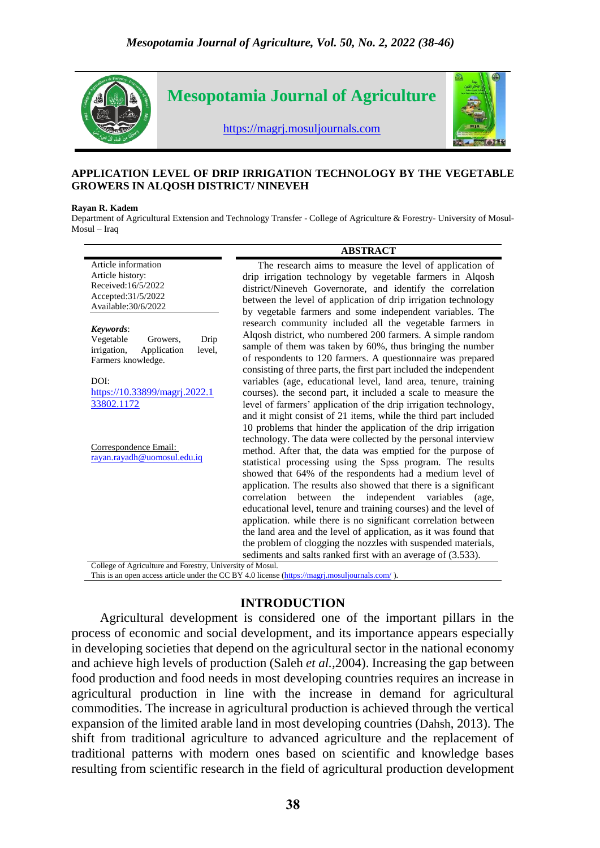

#### **APPLICATION LEVEL OF DRIP IRRIGATION TECHNOLOGY BY THE VEGETABLE GROWERS IN ALQOSH DISTRICT/ NINEVEH**

#### **Rayan R. Kadem**

Department of Agricultural Extension and Technology Transfer - College of Agriculture & Forestry- University of Mosul-Mosul – Iraq

|                                                                                                                                                                 | <b>ABSTRACT</b>                                                                                                                                                                                                                                                                                                                                                                                                                                                                                                                 |
|-----------------------------------------------------------------------------------------------------------------------------------------------------------------|---------------------------------------------------------------------------------------------------------------------------------------------------------------------------------------------------------------------------------------------------------------------------------------------------------------------------------------------------------------------------------------------------------------------------------------------------------------------------------------------------------------------------------|
| Article information<br>Article history:<br>Received:16/5/2022<br>Accepted: 31/5/2022<br>Available: 30/6/2022                                                    | The research aims to measure the level of application of<br>drip irrigation technology by vegetable farmers in Alqosh<br>district/Nineveh Governorate, and identify the correlation<br>between the level of application of drip irrigation technology<br>by vegetable farmers and some independent variables. The                                                                                                                                                                                                               |
| Keywords:<br>Drip<br>Vegetable<br>Growers,<br>irrigation,<br>Application<br>level,<br>Farmers knowledge.<br>DOI:<br>https://10.33899/magrj.2022.1<br>33802.1172 | research community included all the vegetable farmers in<br>Alqosh district, who numbered 200 farmers. A simple random<br>sample of them was taken by 60%, thus bringing the number<br>of respondents to 120 farmers. A questionnaire was prepared<br>consisting of three parts, the first part included the independent<br>variables (age, educational level, land area, tenure, training<br>courses). the second part, it included a scale to measure the<br>level of farmers' application of the drip irrigation technology, |
| Correspondence Email:<br>rayan.rayadh@uomosul.edu.iq                                                                                                            | and it might consist of 21 items, while the third part included<br>10 problems that hinder the application of the drip irrigation<br>technology. The data were collected by the personal interview<br>method. After that, the data was emptied for the purpose of<br>statistical processing using the Spss program. The results<br>showed that 64% of the respondents had a medium level of<br>application. The results also showed that there is a significant<br>correlation between the independent variables<br>(age,       |
| College of Agriculture and Forestry, University of Mosul.                                                                                                       | educational level, tenure and training courses) and the level of<br>application. while there is no significant correlation between<br>the land area and the level of application, as it was found that<br>the problem of clogging the nozzles with suspended materials,<br>sediments and salts ranked first with an average of (3.533).                                                                                                                                                                                         |

This is an open access article under the CC BY 4.0 license [\(https://magrj.mosuljournals.com/](https://magrj.mosuljournals.com/)).

### **INTRODUCTION**

Agricultural development is considered one of the important pillars in the process of economic and social development, and its importance appears especially in developing societies that depend on the agricultural sector in the national economy and achieve high levels of production (Saleh *et al.,*2004). Increasing the gap between food production and food needs in most developing countries requires an increase in agricultural production in line with the increase in demand for agricultural commodities. The increase in agricultural production is achieved through the vertical expansion of the limited arable land in most developing countries (Dahsh, 2013). The shift from traditional agriculture to advanced agriculture and the replacement of traditional patterns with modern ones based on scientific and knowledge bases resulting from scientific research in the field of agricultural production development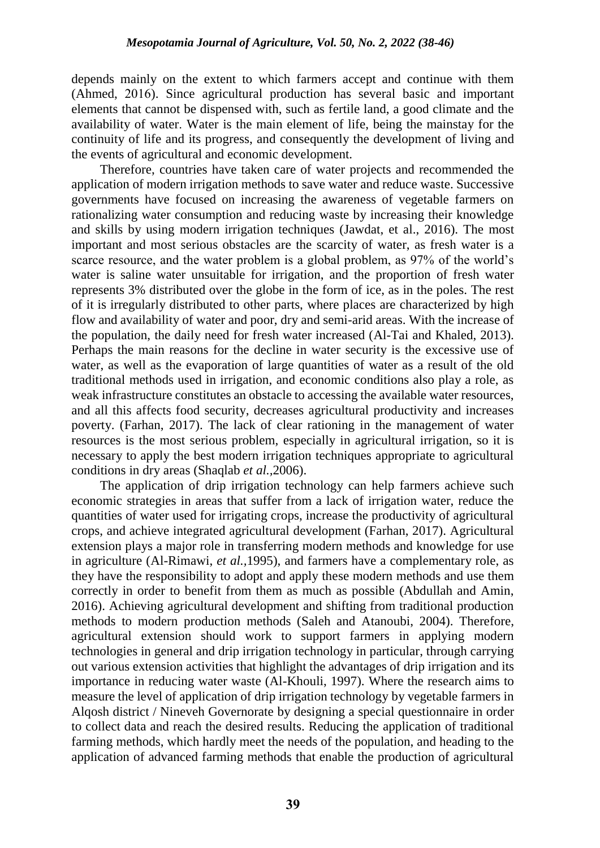depends mainly on the extent to which farmers accept and continue with them (Ahmed, 2016). Since agricultural production has several basic and important elements that cannot be dispensed with, such as fertile land, a good climate and the availability of water. Water is the main element of life, being the mainstay for the continuity of life and its progress, and consequently the development of living and the events of agricultural and economic development.

Therefore, countries have taken care of water projects and recommended the application of modern irrigation methods to save water and reduce waste. Successive governments have focused on increasing the awareness of vegetable farmers on rationalizing water consumption and reducing waste by increasing their knowledge and skills by using modern irrigation techniques (Jawdat, et al., 2016). The most important and most serious obstacles are the scarcity of water, as fresh water is a scarce resource, and the water problem is a global problem, as 97% of the world's water is saline water unsuitable for irrigation, and the proportion of fresh water represents 3% distributed over the globe in the form of ice, as in the poles. The rest of it is irregularly distributed to other parts, where places are characterized by high flow and availability of water and poor, dry and semi-arid areas. With the increase of the population, the daily need for fresh water increased (Al-Tai and Khaled, 2013). Perhaps the main reasons for the decline in water security is the excessive use of water, as well as the evaporation of large quantities of water as a result of the old traditional methods used in irrigation, and economic conditions also play a role, as weak infrastructure constitutes an obstacle to accessing the available water resources, and all this affects food security, decreases agricultural productivity and increases poverty. (Farhan, 2017). The lack of clear rationing in the management of water resources is the most serious problem, especially in agricultural irrigation, so it is necessary to apply the best modern irrigation techniques appropriate to agricultural conditions in dry areas (Shaqlab *et al.,*2006).

The application of drip irrigation technology can help farmers achieve such economic strategies in areas that suffer from a lack of irrigation water, reduce the quantities of water used for irrigating crops, increase the productivity of agricultural crops, and achieve integrated agricultural development (Farhan, 2017). Agricultural extension plays a major role in transferring modern methods and knowledge for use in agriculture (Al-Rimawi, *et al.,*1995), and farmers have a complementary role, as they have the responsibility to adopt and apply these modern methods and use them correctly in order to benefit from them as much as possible (Abdullah and Amin, 2016). Achieving agricultural development and shifting from traditional production methods to modern production methods (Saleh and Atanoubi, 2004). Therefore, agricultural extension should work to support farmers in applying modern technologies in general and drip irrigation technology in particular, through carrying out various extension activities that highlight the advantages of drip irrigation and its importance in reducing water waste (Al-Khouli, 1997). Where the research aims to measure the level of application of drip irrigation technology by vegetable farmers in Alqosh district / Nineveh Governorate by designing a special questionnaire in order to collect data and reach the desired results. Reducing the application of traditional farming methods, which hardly meet the needs of the population, and heading to the application of advanced farming methods that enable the production of agricultural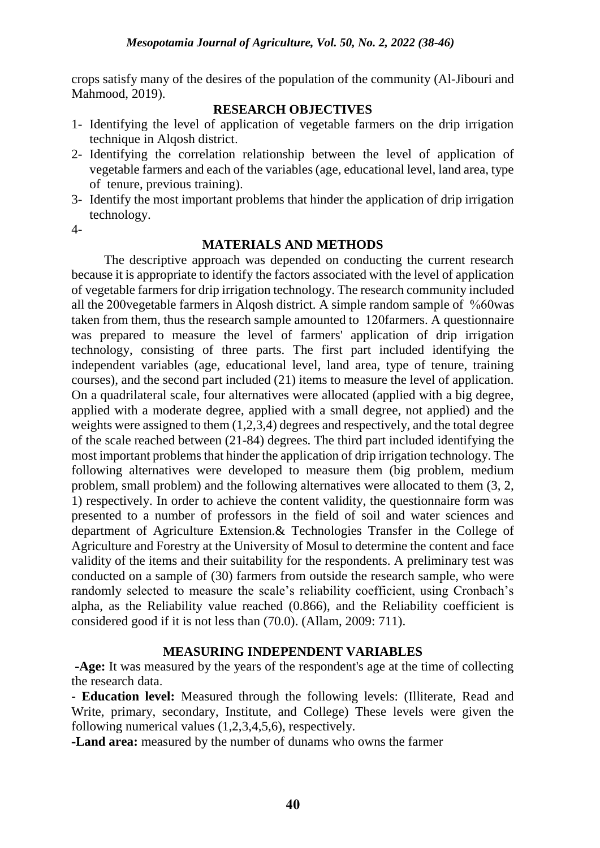crops satisfy many of the desires of the population of the community (Al-Jibouri and Mahmood, 2019).

### **RESEARCH OBJECTIVES**

- 1- Identifying the level of application of vegetable farmers on the drip irrigation technique in Alqosh district.
- 2- Identifying the correlation relationship between the level of application of vegetable farmers and each of the variables (age, educational level, land area, type of tenure, previous training).
- 3- Identify the most important problems that hinder the application of drip irrigation technology.

4-

### **MATERIALS AND METHODS**

 The descriptive approach was depended on conducting the current research because it is appropriate to identify the factors associated with the level of application of vegetable farmers for drip irrigation technology. The research community included all the 200vegetable farmers in Alqosh district. A simple random sample of %60was taken from them, thus the research sample amounted to 120farmers. A questionnaire was prepared to measure the level of farmers' application of drip irrigation technology, consisting of three parts. The first part included identifying the independent variables (age, educational level, land area, type of tenure, training courses), and the second part included (21) items to measure the level of application. On a quadrilateral scale, four alternatives were allocated (applied with a big degree, applied with a moderate degree, applied with a small degree, not applied) and the weights were assigned to them (1,2,3,4) degrees and respectively, and the total degree of the scale reached between (21-84) degrees. The third part included identifying the most important problems that hinder the application of drip irrigation technology. The following alternatives were developed to measure them (big problem, medium problem, small problem) and the following alternatives were allocated to them (3, 2, 1) respectively. In order to achieve the content validity, the questionnaire form was presented to a number of professors in the field of soil and water sciences and department of Agriculture Extension.& Technologies Transfer in the College of Agriculture and Forestry at the University of Mosul to determine the content and face validity of the items and their suitability for the respondents. A preliminary test was conducted on a sample of (30) farmers from outside the research sample, who were randomly selected to measure the scale's reliability coefficient, using Cronbach's alpha, as the Reliability value reached (0.866), and the Reliability coefficient is considered good if it is not less than (70.0). (Allam, 2009: 711).

### **MEASURING INDEPENDENT VARIABLES**

**-Age:** It was measured by the years of the respondent's age at the time of collecting the research data.

**- Education level:** Measured through the following levels: (Illiterate, Read and Write, primary, secondary, Institute, and College) These levels were given the following numerical values (1,2,3,4,5,6), respectively.

**-Land area:** measured by the number of dunams who owns the farmer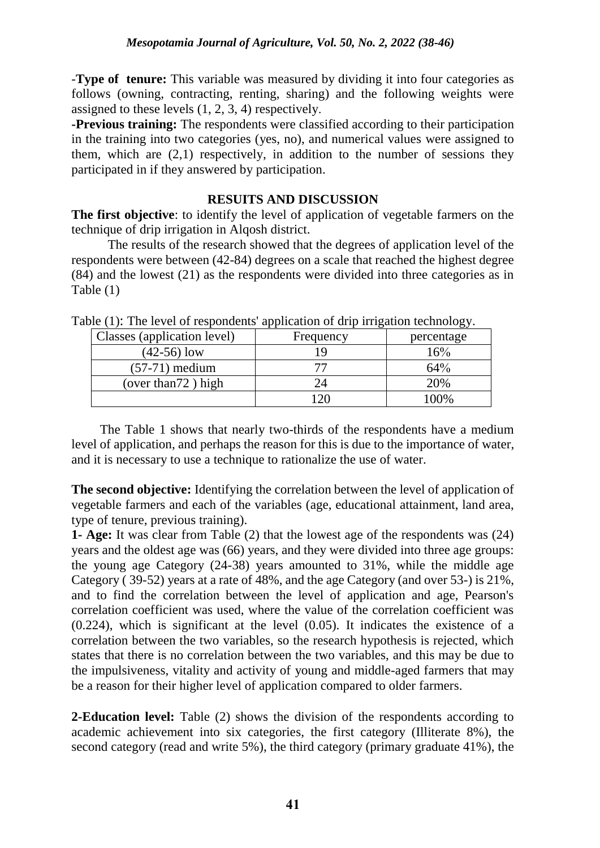-**Type of tenure:** This variable was measured by dividing it into four categories as follows (owning, contracting, renting, sharing) and the following weights were assigned to these levels (1, 2, 3, 4) respectively.

**-Previous training:** The respondents were classified according to their participation in the training into two categories (yes, no), and numerical values were assigned to them, which are (2,1) respectively, in addition to the number of sessions they participated in if they answered by participation.

# **RESUITS AND DISCUSSION**

**The first objective**: to identify the level of application of vegetable farmers on the technique of drip irrigation in Alqosh district.

The results of the research showed that the degrees of application level of the respondents were between (42-84) degrees on a scale that reached the highest degree (84) and the lowest (21) as the respondents were divided into three categories as in Table (1)

| Classes (application level) | Frequency | percentage |
|-----------------------------|-----------|------------|
| $(42-56)$ low               |           | 16%        |
| $(57-71)$ medium            |           | 64%        |
| (over than $72$ ) high      |           | 20%        |
|                             |           | $00\%$     |

Table (1): The level of respondents' application of drip irrigation technology.

The Table 1 shows that nearly two-thirds of the respondents have a medium level of application, and perhaps the reason for this is due to the importance of water, and it is necessary to use a technique to rationalize the use of water.

**The second objective:** Identifying the correlation between the level of application of vegetable farmers and each of the variables (age, educational attainment, land area, type of tenure, previous training).

**1- Age:** It was clear from Table (2) that the lowest age of the respondents was (24) years and the oldest age was (66) years, and they were divided into three age groups: the young age Category (24-38) years amounted to 31%, while the middle age Category ( 39-52) years at a rate of 48%, and the age Category (and over 53-) is 21%, and to find the correlation between the level of application and age, Pearson's correlation coefficient was used, where the value of the correlation coefficient was (0.224), which is significant at the level (0.05). It indicates the existence of a correlation between the two variables, so the research hypothesis is rejected, which states that there is no correlation between the two variables, and this may be due to the impulsiveness, vitality and activity of young and middle-aged farmers that may be a reason for their higher level of application compared to older farmers.

**2-Education level:** Table (2) shows the division of the respondents according to academic achievement into six categories, the first category (Illiterate 8%), the second category (read and write 5%), the third category (primary graduate 41%), the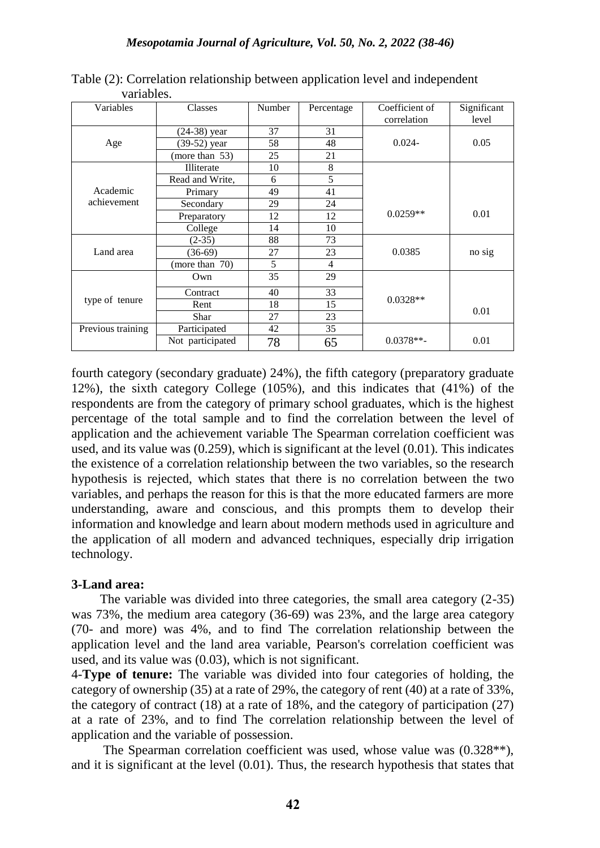| Variables         | Classes          | <b>Number</b> | Percentage     | Coefficient of<br>correlation | Significant<br>level |
|-------------------|------------------|---------------|----------------|-------------------------------|----------------------|
|                   | (24-38) year     | 37            | 31             |                               |                      |
| Age               | (39-52) year     | 58            | 48             | $0.024 -$                     | 0.05                 |
|                   | (more than 53)   | 25            | 21             |                               |                      |
|                   | Illiterate       | 10            | 8              |                               |                      |
|                   | Read and Write,  | 6             | 5              |                               |                      |
| Academic          | Primary          | 49            | 41             |                               |                      |
| achievement       | Secondary        | 29            | 24             |                               |                      |
|                   | Preparatory      | 12            | 12             | $0.0259**$                    | 0.01                 |
|                   | College          | 14            | 10             |                               |                      |
|                   | $(2-35)$         | 88            | 73             |                               |                      |
| Land area         | $(36-69)$        | 27            | 23             | 0.0385                        | no sig               |
|                   | (more than 70)   | 5             | $\overline{4}$ |                               |                      |
|                   | Own              | 35            | 29             |                               |                      |
| type of tenure    | Contract         | 40            | 33             |                               |                      |
|                   | Rent             | 18            | 15             | $0.0328**$                    |                      |
|                   | <b>Shar</b>      | 27            | 23             |                               | 0.01                 |
| Previous training | Participated     | 42            | 35             |                               |                      |
|                   | Not participated | 78            | 65             | $0.0378**$                    | 0.01                 |

Table (2): Correlation relationship between application level and independent variables.

fourth category (secondary graduate) 24%), the fifth category (preparatory graduate 12%), the sixth category College (105%), and this indicates that (41%) of the respondents are from the category of primary school graduates, which is the highest percentage of the total sample and to find the correlation between the level of application and the achievement variable The Spearman correlation coefficient was used, and its value was (0.259), which is significant at the level (0.01). This indicates the existence of a correlation relationship between the two variables, so the research hypothesis is rejected, which states that there is no correlation between the two variables, and perhaps the reason for this is that the more educated farmers are more understanding, aware and conscious, and this prompts them to develop their information and knowledge and learn about modern methods used in agriculture and the application of all modern and advanced techniques, especially drip irrigation technology.

### **3-Land area:**

The variable was divided into three categories, the small area category (2-35) was 73%, the medium area category (36-69) was 23%, and the large area category (70- and more) was 4%, and to find The correlation relationship between the application level and the land area variable, Pearson's correlation coefficient was used, and its value was (0.03), which is not significant.

4-**Type of tenure:** The variable was divided into four categories of holding, the category of ownership (35) at a rate of 29%, the category of rent (40) at a rate of 33%, the category of contract (18) at a rate of 18%, and the category of participation (27) at a rate of 23%, and to find The correlation relationship between the level of application and the variable of possession.

The Spearman correlation coefficient was used, whose value was (0.328\*\*), and it is significant at the level (0.01). Thus, the research hypothesis that states that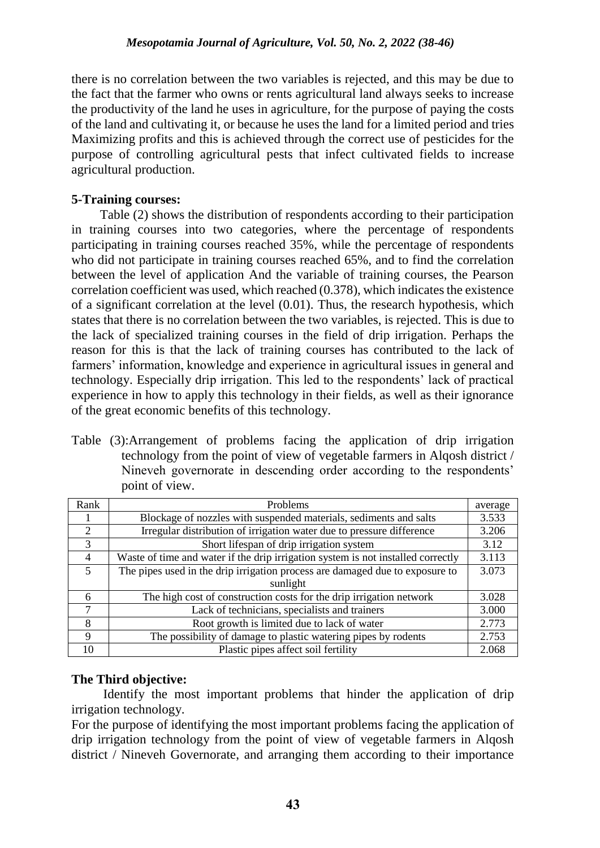there is no correlation between the two variables is rejected, and this may be due to the fact that the farmer who owns or rents agricultural land always seeks to increase the productivity of the land he uses in agriculture, for the purpose of paying the costs of the land and cultivating it, or because he uses the land for a limited period and tries Maximizing profits and this is achieved through the correct use of pesticides for the purpose of controlling agricultural pests that infect cultivated fields to increase agricultural production.

# **5-Training courses:**

Table (2) shows the distribution of respondents according to their participation in training courses into two categories, where the percentage of respondents participating in training courses reached 35%, while the percentage of respondents who did not participate in training courses reached 65%, and to find the correlation between the level of application And the variable of training courses, the Pearson correlation coefficient was used, which reached (0.378), which indicates the existence of a significant correlation at the level (0.01). Thus, the research hypothesis, which states that there is no correlation between the two variables, is rejected. This is due to the lack of specialized training courses in the field of drip irrigation. Perhaps the reason for this is that the lack of training courses has contributed to the lack of farmers' information, knowledge and experience in agricultural issues in general and technology. Especially drip irrigation. This led to the respondents' lack of practical experience in how to apply this technology in their fields, as well as their ignorance of the great economic benefits of this technology.

Table (3):Arrangement of problems facing the application of drip irrigation technology from the point of view of vegetable farmers in Alqosh district / Nineveh governorate in descending order according to the respondents' point of view.

| Rank                        | Problems                                                                         |       |  |  |  |
|-----------------------------|----------------------------------------------------------------------------------|-------|--|--|--|
|                             | Blockage of nozzles with suspended materials, sediments and salts                |       |  |  |  |
| $\mathcal{D}_{\mathcal{L}}$ | Irregular distribution of irrigation water due to pressure difference            |       |  |  |  |
| 3                           | Short lifespan of drip irrigation system                                         |       |  |  |  |
| $\overline{4}$              | Waste of time and water if the drip irrigation system is not installed correctly | 3.113 |  |  |  |
| $\overline{\mathbf{5}}$     | The pipes used in the drip irrigation process are damaged due to exposure to     | 3.073 |  |  |  |
|                             | sunlight                                                                         |       |  |  |  |
| 6                           | The high cost of construction costs for the drip irrigation network              | 3.028 |  |  |  |
| 7                           | Lack of technicians, specialists and trainers                                    | 3.000 |  |  |  |
| 8                           | Root growth is limited due to lack of water                                      | 2.773 |  |  |  |
| $\mathbf Q$                 | The possibility of damage to plastic watering pipes by rodents                   |       |  |  |  |
| 10                          | Plastic pipes affect soil fertility                                              | 2.068 |  |  |  |

# **The Third objective:**

Identify the most important problems that hinder the application of drip irrigation technology.

For the purpose of identifying the most important problems facing the application of drip irrigation technology from the point of view of vegetable farmers in Alqosh district / Nineveh Governorate, and arranging them according to their importance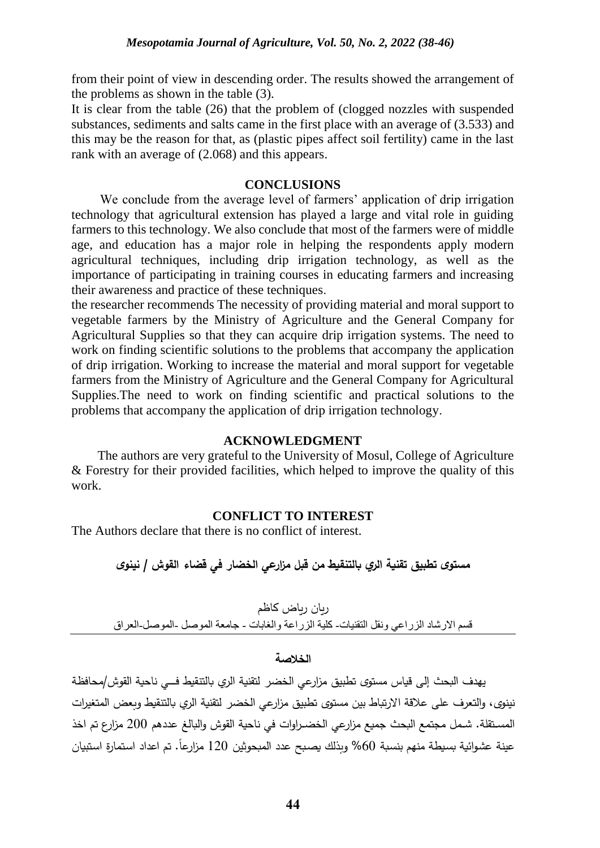from their point of view in descending order. The results showed the arrangement of the problems as shown in the table (3).

It is clear from the table (26) that the problem of (clogged nozzles with suspended substances, sediments and salts came in the first place with an average of (3.533) and this may be the reason for that, as (plastic pipes affect soil fertility) came in the last rank with an average of (2.068) and this appears.

### **CONCLUSIONS**

We conclude from the average level of farmers' application of drip irrigation technology that agricultural extension has played a large and vital role in guiding farmers to this technology. We also conclude that most of the farmers were of middle age, and education has a major role in helping the respondents apply modern agricultural techniques, including drip irrigation technology, as well as the importance of participating in training courses in educating farmers and increasing their awareness and practice of these techniques.

the researcher recommends The necessity of providing material and moral support to vegetable farmers by the Ministry of Agriculture and the General Company for Agricultural Supplies so that they can acquire drip irrigation systems. The need to work on finding scientific solutions to the problems that accompany the application of drip irrigation. Working to increase the material and moral support for vegetable farmers from the Ministry of Agriculture and the General Company for Agricultural Supplies.The need to work on finding scientific and practical solutions to the problems that accompany the application of drip irrigation technology.

### **ACKNOWLEDGMENT**

The authors are very grateful to the University of Mosul, College of Agriculture & Forestry for their provided facilities, which helped to improve the quality of this work.

### **CONFLICT TO INTEREST**

The Authors declare that there is no conflict of interest.

# **مستوى تطبيق تقنية الري بالتنقيط من قبل م ازرعي الخضار في قضاء القوش / نينوى**

ريان رياض كاظم قسم الارشاد الزراعي ونقل التقنيات- كلية الزراعة والغابات - جامعة الموصل -الموصل-العراق

#### **الخالصة**

يهدف البحث إلى قياس مستوى تطبيق مزارعي الخضر لتقنية الري بالتنقيط فــى ناحية القوش/محافظة نينوى، والتعرف على علاقة الارتباط بين مستوى تطبيق مزارعي الخضر لتقنية الري بالتنقيط وبعض المتغيرات المسـتقلة. شـمل مجتمـع البحث جميع مزارعي الخضـراوات في ناحية القوش والبالـغ عددهم 200 مزارع تم اخذ عينة عشوائية بسيطة منهم بنسبة 60% وبذلك يصبح عدد المبحوثين 120 مزارعا. تم اعداد استمارة استبيان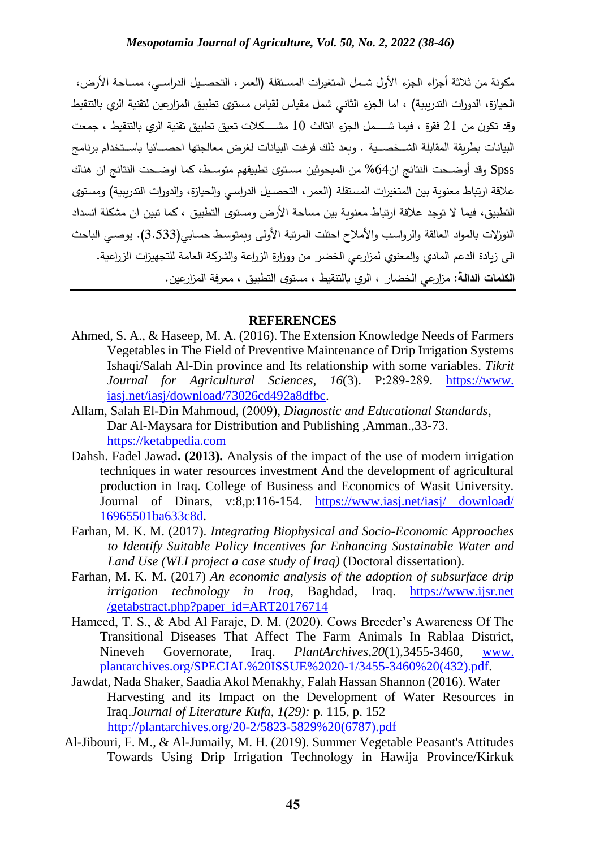مكونة من ثلاثة أجزاء الجزء الأول شـمل المتغيرات المسـتقلة (العمر ، التحصـيل الدراســي، مسـاحة الأرض، الحيازة، الدورات التدريبية) ، اما الجزء الثاني شمل مقياس لقياس مستوى تطبيق المزارعين لتقنية الري بالتنقيط وقد تكون من 21 فقرة ، فيما شـــــمل الجزء الثالث 10 مشـــــكلات تعيق تطبيق تقنية الري بالتنقيط ، جمعت البيانات بطريقة المقابلة الشــخصـــية . وبعد ذلك فرغت البيانات لغرض معالجتها احصـــائيا باســتخدام برنامج Spss وقد أوضــحت النتائج ان64% من المبحوثين مسـتوى تطبيقهم متوسـط، كما اوضــحت النتائج ان هناك علاقة ارتباط معنوية بين المتغيرات المستقلة (العمر ، التحصـيل الدراسـي والحيازة، والدورات التدريبية) ومستوى التطبيق، فيما ال توجد عالقة ارتباط معنوية بين مساحة األرض ومستوى التطبيق ، كما تبين ان مشكلة انسدا النوزلات بالمواد العالقة والرواسب والأملاح احتلت المرتبة الأولى وبمتوسط حسابي(3.533). يوصبي الباحث الى زيادة الدعم المادي والمعنوي لمزارعي الخضر من ووزارة الزراعة والشركة العامة للتجهيزات الزراعية. **الكلمات الدالة:** م ازرعي الخضار ، الري بالتنقيط ، مستوى التطبيق ، معرفة المزارعين

#### **REFERENCES**

- Ahmed, S. A., & Haseep, M. A. (2016). The Extension Knowledge Needs of Farmers Vegetables in The Field of Preventive Maintenance of Drip Irrigation Systems Ishaqi/Salah Al-Din province and Its relationship with some variables. *Tikrit Journal for Agricultural Sciences*, *16*(3). P:289-289. https://www. iasj.net/iasj/download/73026cd492a8dfbc.
- Allam, Salah El-Din Mahmoud, (2009), *Diagnostic and Educational Standards*, Dar Al-Maysara for Distribution and Publishing ,Amman.,33-73. [https://ketabpedia.com](https://ketabpedia.com/)
- Dahsh. Fadel Jawad**. (2013).** Analysis of the impact of the use of modern irrigation techniques in water resources investment And the development of agricultural production in Iraq. College of Business and Economics of Wasit University. Journal of Dinars, v:8,p:116-154. [https://www.iasj.net/iasj/ download/](https://www.iasj.net/iasj/%20download/%2016965501ba633c8d)  [16965501ba633c8d.](https://www.iasj.net/iasj/%20download/%2016965501ba633c8d)
- Farhan, M. K. M. (2017). *Integrating Biophysical and Socio-Economic Approaches to Identify Suitable Policy Incentives for Enhancing Sustainable Water and Land Use (WLI project a case study of Iraq)* (Doctoral dissertation).
- Farhan, M. K. M. (2017) *An economic analysis of the adoption of subsurface drip irrigation technology in Iraq*, Baghdad, Iraq. https://www.ijsr.net /getabstract.php?paper\_id=ART20176714
- Hameed, T. S., & Abd Al Faraje, D. M. (2020). Cows Breeder's Awareness Of The Transitional Diseases That Affect The Farm Animals In Rablaa District, Nineveh Governorate, Iraq. *PlantArchives*,*20*(1),3455-3460, [www.](http://www.plantarchives.org/SPECIAL%20ISSUE%2020-1/3455-3460%20(432).pdf) [plantarchives.org/SPECIAL%20ISSUE%2020-1/3455-3460%20\(432\).pdf.](http://www.plantarchives.org/SPECIAL%20ISSUE%2020-1/3455-3460%20(432).pdf)
- Jawdat, Nada Shaker, Saadia Akol Menakhy, Falah Hassan Shannon (2016). Water Harvesting and its Impact on the Development of Water Resources in Iraq.*Journal of Literature Kufa*, *1(29):* p. 115, p. 152 [http://plantarchives.org/20-2/5823-5829%20\(6787\).pdf](http://plantarchives.org/20-2/5823-5829%20(6787).pdf)
- Al-Jibouri, F. M., & Al-Jumaily, M. H. (2019). Summer Vegetable Peasant's Attitudes Towards Using Drip Irrigation Technology in Hawija Province/Kirkuk